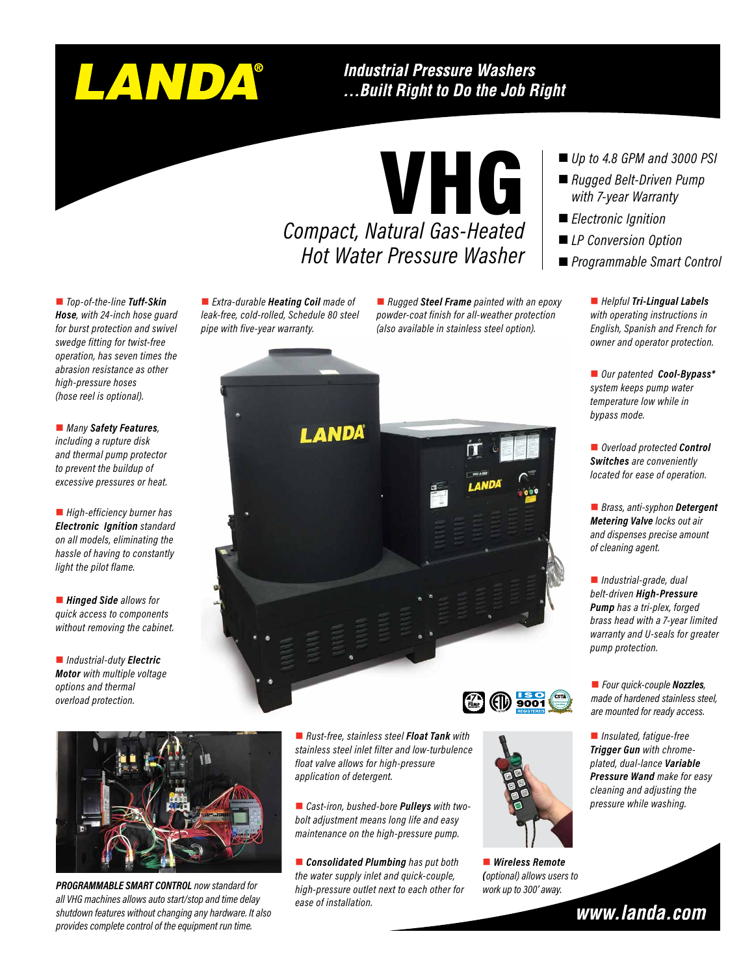# LANDA®

#### **Industrial Pressure Washers** ...Built Right to Do the Job Right

VHG

*Compact, Natural Gas-Heated Hot Water Pressure Washer*

■ *Top-of-the-line Tuff-Skin Hose, with 24-inch hose guard for burst protection and swivel swedge fitting for twist-free operation, has seven times the abrasion resistance as other high-pressure hoses (hose reel is optional).*

■ *Many Safety Features*, *including a rupture disk and thermal pump protector to prevent the buildup of excessive pressures or heat.*

■ *High-efficiency burner has Electronic Ignition standard on all models, eliminating the hassle of having to constantly light the pilot flame.*

■ **Hinged Side** allows for *quick access to components without removing the cabinet.*

■ *Industrial-duty Electric Motor with multiple voltage options and thermal overload protection.*

■ *Extra-durable* **Heating Coil** made of *leak-free, cold-rolled, Schedule 80 steel pipe with five-year warranty.*

■ *Rugged Steel Frame* painted with an epoxy *powder-coat finish for all-weather protection (also available in stainless steel option).*





*PROGRAMMABLE SMART CONTROL now standard for all VHG machines allows auto start/stop and time delay shutdown features without changing any hardware. It also provides complete control of the equipment run time.*



■ *Rust-free, stainless steel Float Tank* with *stainless steel inlet filter and low-turbulence float valve allows for high-pressure application of detergent.*

**n** Cast-iron, bushed-bore **Pulleys** with two*bolt adjustment means long life and easy maintenance on the high-pressure pump.*

**nConsolidated Plumbing** has put both *the water supply inlet and quick-couple, high-pressure outlet next to each other for ease of installation.*



■ *Wireless Remote (optional) allows users to work up to 300' away.*

- *Up to 4.8 GPM and 3000 PSI*
- Rugged Belt-Driven Pump *with 7-year Warranty*
- *Electronic Ignition*
- *LP Conversion Option*
- *Programmable Smart Control*

■ *Helpful Tri-Lingual Labels with operating instructions in English, Spanish and French for owner and operator protection.*

■ *Our patented Cool-Bypass\* system keeps pump water temperature low while in bypass mode.*

■ *Overload protected Control Switches are conveniently located for ease of operation.*

■ *Brass, anti-syphon* Detergent *Metering Valve locks out air and dispenses precise amount of cleaning agent.*

■ *Industrial-grade, dual belt-driven High-Pressure Pump has a tri-plex, forged brass head with a 7-year limited warranty and U-seals for greater pump protection.*

■ *Four quick-couple Nozzles*, *made of hardened stainless steel, are mounted for ready access.*

■ *Insulated, fatigue-free Trigger Gun with chromeplated, dual-lance Variable Pressure Wand make for easy cleaning and adjusting the*